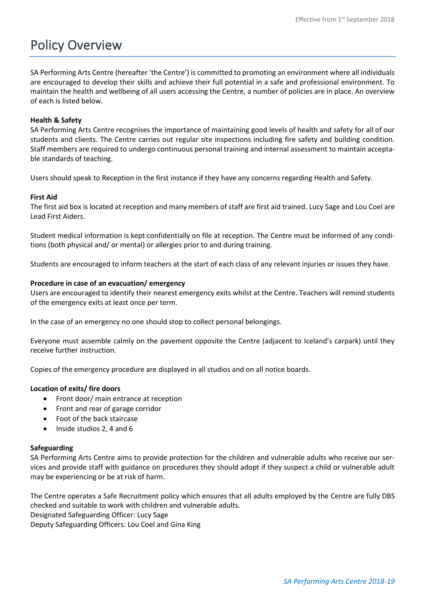# Policy Overview

SA Performing Arts Centre (hereafter 'the Centre') is committed to promoting an environment where all individuals are encouraged to develop their skills and achieve their full potential in a safe and professional environment. To maintain the health and wellbeing of all users accessing the Centre, a number of policies are in place. An overview of each is listed below.

# **Health & Safety**

SA Performing Arts Centre recognises the importance of maintaining good levels of health and safety for all of our students and clients. The Centre carries out regular site inspections including fire safety and building condition. Staff members are required to undergo continuous personal training and internal assessment to maintain acceptable standards of teaching.

Users should speak to Reception in the first instance if they have any concerns regarding Health and Safety.

# **First Aid**

The first aid box is located at reception and many members of staff are first aid trained. Lucy Sage and Lou Coel are Lead First Aiders.

Student medical information is kept confidentially on file at reception. The Centre must be informed of any conditions (both physical and/ or mental) or allergies prior to and during training.

Students are encouraged to inform teachers at the start of each class of any relevant injuries or issues they have.

# **Procedure in case of an evacuation/ emergency**

Users are encouraged to identify their nearest emergency exits whilst at the Centre. Teachers will remind students of the emergency exits at least once per term.

In the case of an emergency no one should stop to collect personal belongings.

Everyone must assemble calmly on the pavement opposite the Centre (adjacent to Iceland's carpark) until they receive further instruction.

Copies of the emergency procedure are displayed in all studios and on all notice boards.

# **Location of exits/ fire doors**

- Front door/ main entrance at reception
- Front and rear of garage corridor
- Foot of the back staircase
- Inside studios 2, 4 and 6

### **Safeguarding**

SA Performing Arts Centre aims to provide protection for the children and vulnerable adults who receive our services and provide staff with guidance on procedures they should adopt if they suspect a child or vulnerable adult may be experiencing or be at risk of harm.

The Centre operates a Safe Recruitment policy which ensures that all adults employed by the Centre are fully DBS checked and suitable to work with children and vulnerable adults.

Designated Safeguarding Officer: Lucy Sage

Deputy Safeguarding Officers: Lou Coel and Gina King